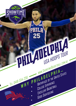